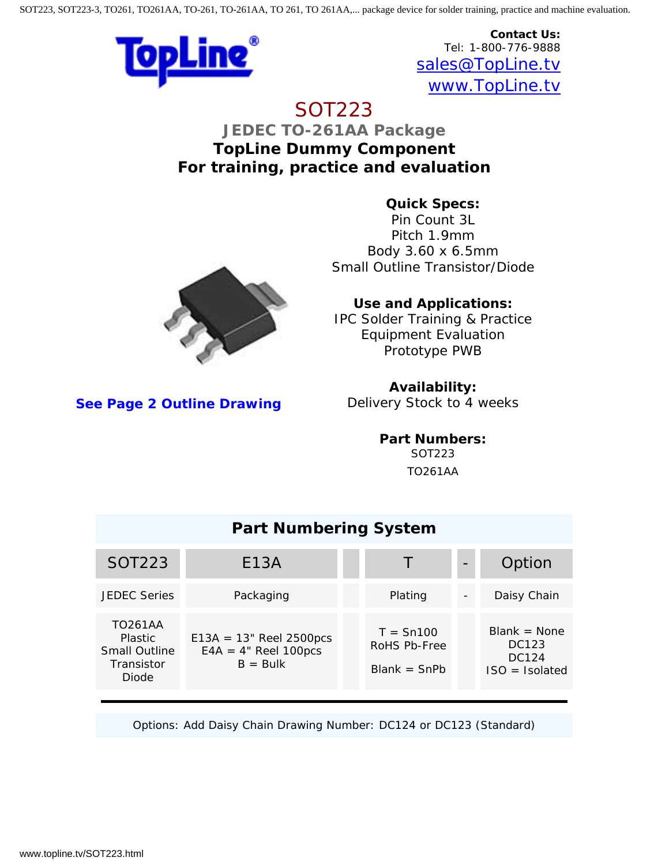

**Contact Us:** Tel: 1-800-776-9888 [sales@TopLine.tv](mailto:sales@topline.tv) [www.TopLine.tv](http://www.topline.tv/)

## SOT223 **JEDEC TO-261AA Package**

**TopLine Dummy Component For training, practice and evaluation**

> **Quick Specs:** Pin Count 3L Pitch 1.9mm Body 3.60 x 6.5mm Small Outline Transistor/Diode



**Use and Applications:**

IPC Solder Training & Practice Equipment Evaluation Prototype PWB

**See Pa[ge 2 Outline Drawing](http://www.topline.tv/drawings/pdf/SOT/SOT223_Package_TopLine.pdf)**

**Availability:**

Delivery Stock to 4 weeks

**Part Numbers:** SOT223 TO261AA

| <b>Part Numbering System</b>                                                           |                                                                    |  |                                               |  |                                                      |
|----------------------------------------------------------------------------------------|--------------------------------------------------------------------|--|-----------------------------------------------|--|------------------------------------------------------|
| <b>SOT223</b>                                                                          | E13A                                                               |  | T                                             |  | Option                                               |
| <b>JEDEC Series</b>                                                                    | Packaging                                                          |  | Plating                                       |  | Daisy Chain                                          |
| <b>TO261AA</b><br><b>Plastic</b><br><b>Small Outline</b><br><b>Transistor</b><br>Diode | $E13A = 13$ " Reel 2500pcs<br>$E4A = 4"$ Reel 100pcs<br>$B = Bulk$ |  | $T = Sn100$<br>RoHS Pb-Free<br>$Blank = ShPb$ |  | $Blank = None$<br>DC123<br>DC124<br>$ISO = Isolated$ |

Options: Add Daisy Chain Drawing Number: DC124 or DC123 (Standard)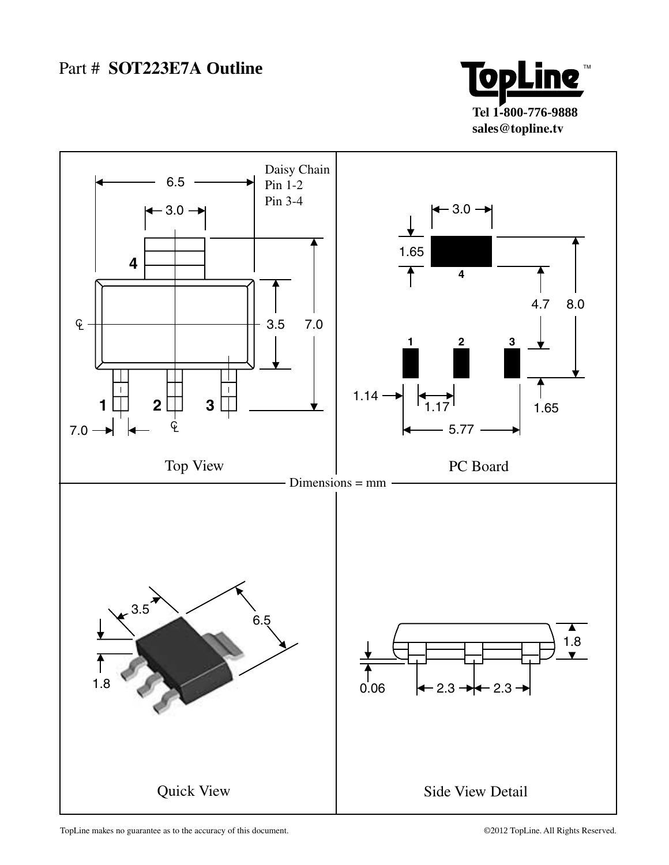



TopLine makes no guarantee as to the accuracy of this document.  $\degree$  example 2012 TopLine. All Rights Reserved.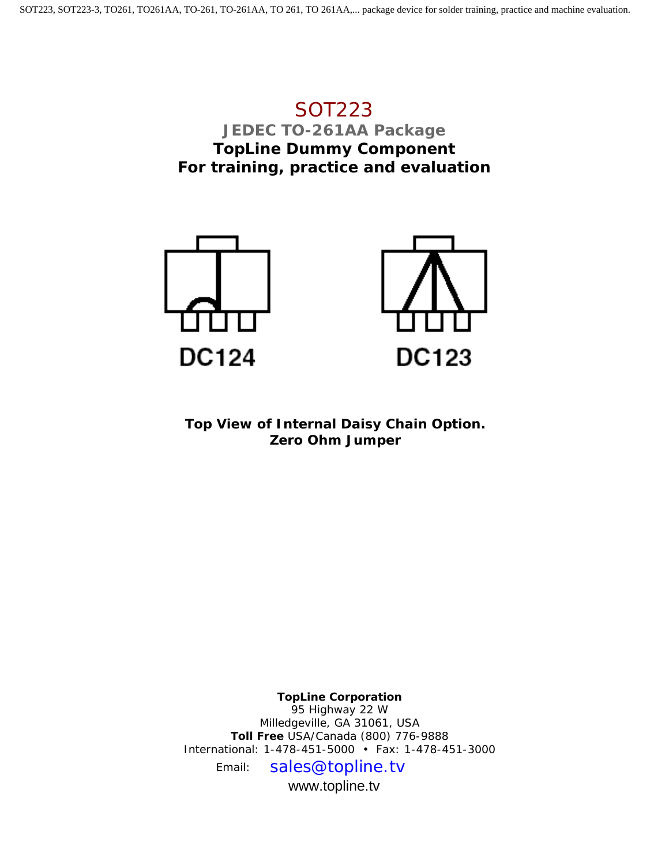## SOT223 **JEDEC TO-261AA Package TopLine Dummy Component For training, practice and evaluation**



**Top View of Internal Daisy Chain Option. Zero Ohm Jumper**

**TopLine Corporation** 95 Highway 22 W Milledgeville, GA 31061, USA **Toll Free** USA/Canada (800) 776-9888 International: 1-478-451-5000 • Fax: 1-478-451-3000 Email: sales@topline.tv

www.topline.tv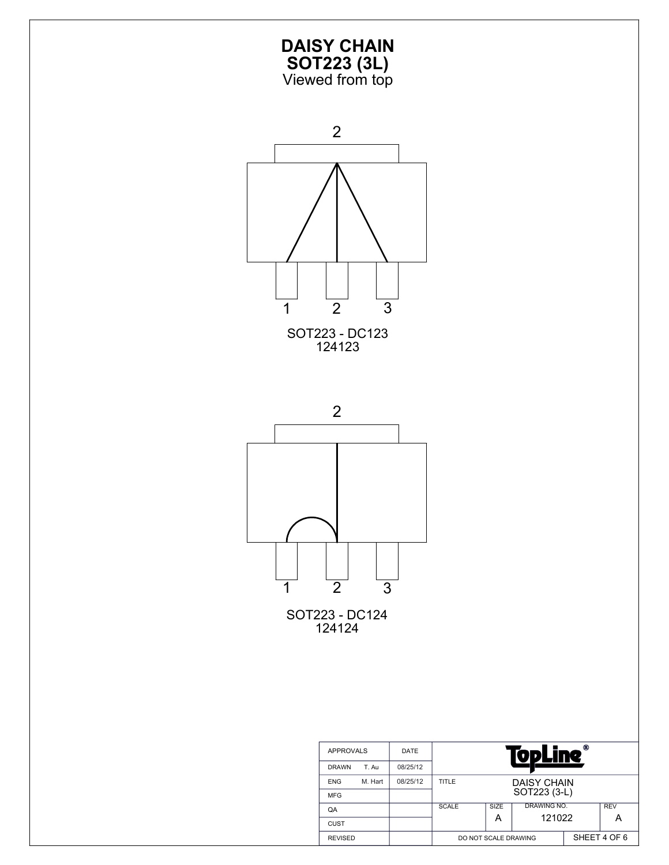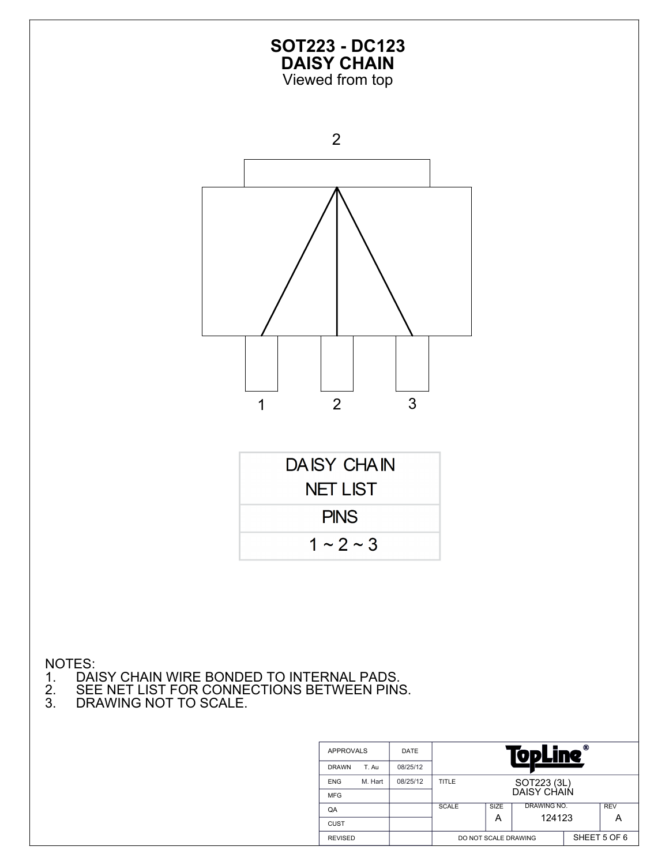